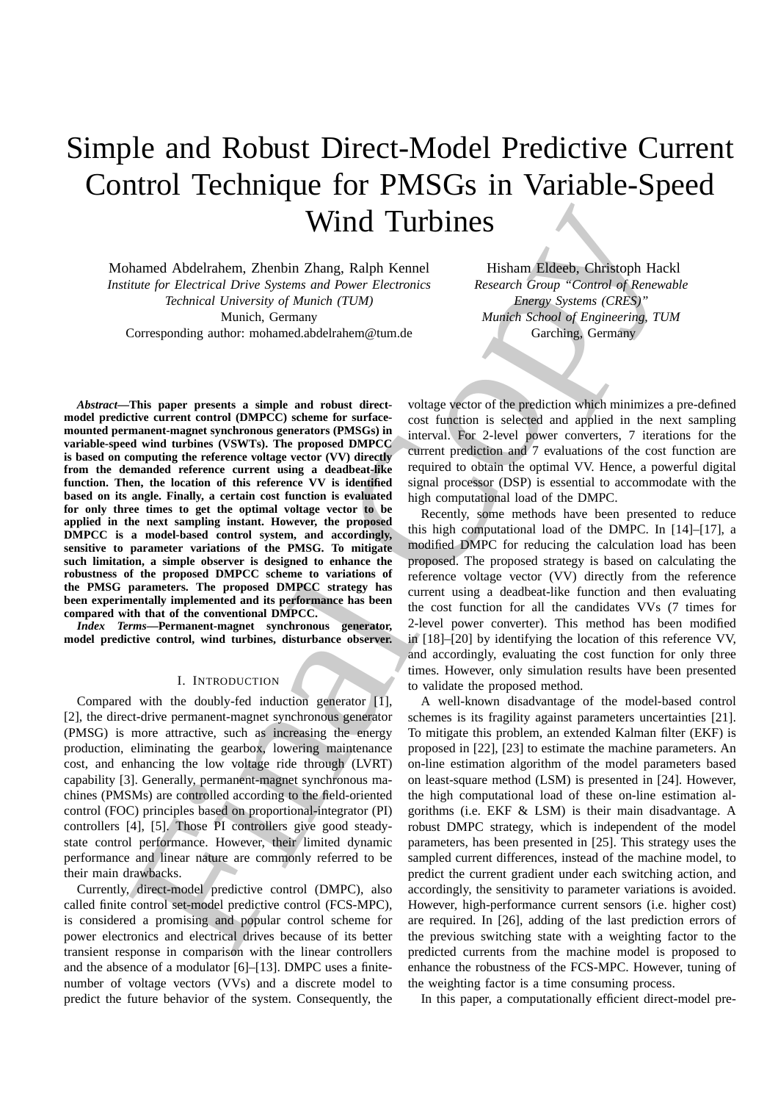# Simple and Robust Direct-Model Predictive Current Control Technique for PMSGs in Variable-Speed Wind Turbines

Mohamed Abdelrahem, Zhenbin Zhang, Ralph Kennel *Institute for Electrical Drive Systems and Power Electronics Technical University of Munich (TUM)* Munich, Germany Corresponding author: mohamed.abdelrahem@tum.de

Hisham Eldeeb, Christoph Hackl *Research Group "Control of Renewable Energy Systems (CRES)" Munich School of Engineering, TUM* Garching, Germany

*Abstract***—This paper presents a simple and robust directmodel predictive current control (DMPCC) scheme for surfacemounted permanent-magnet synchronous generators (PMSGs) in variable-speed wind turbines (VSWTs). The proposed DMPCC is based on computing the reference voltage vector (VV) directly from the demanded reference current using a deadbeat-like function. Then, the location of this reference VV is identified based on its angle. Finally, a certain cost function is evaluated for only three times to get the optimal voltage vector to be applied in the next sampling instant. However, the proposed DMPCC is a model-based control system, and accordingly, sensitive to parameter variations of the PMSG. To mitigate such limitation, a simple observer is designed to enhance the robustness of the proposed DMPCC scheme to variations of the PMSG parameters. The proposed DMPCC strategy has been experimentally implemented and its performance has been compared with that of the conventional DMPCC.**

*Index Terms***—Permanent-magnet synchronous generator, model predictive control, wind turbines, disturbance observer.**

#### I. INTRODUCTION

Compared with the doubly-fed induction generator [1], [2], the direct-drive permanent-magnet synchronous generator (PMSG) is more attractive, such as increasing the energy production, eliminating the gearbox, lowering maintenance cost, and enhancing the low voltage ride through (LVRT) capability [3]. Generally, permanent-magnet synchronous machines (PMSMs) are controlled according to the field-oriented control (FOC) principles based on proportional-integrator (PI) controllers [4], [5]. Those PI controllers give good steadystate control performance. However, their limited dynamic performance and linear nature are commonly referred to be their main drawbacks.

Currently, direct-model predictive control (DMPC), also called finite control set-model predictive control (FCS-MPC), is considered a promising and popular control scheme for power electronics and electrical drives because of its better transient response in comparison with the linear controllers and the absence of a modulator [6]–[13]. DMPC uses a finitenumber of voltage vectors (VVs) and a discrete model to predict the future behavior of the system. Consequently, the voltage vector of the prediction which minimizes a pre-defined cost function is selected and applied in the next sampling interval. For 2-level power converters, 7 iterations for the current prediction and 7 evaluations of the cost function are required to obtain the optimal VV. Hence, a powerful digital signal processor (DSP) is essential to accommodate with the high computational load of the DMPC.

Recently, some methods have been presented to reduce this high computational load of the DMPC. In [14]–[17], a modified DMPC for reducing the calculation load has been proposed. The proposed strategy is based on calculating the reference voltage vector (VV) directly from the reference current using a deadbeat-like function and then evaluating the cost function for all the candidates VVs (7 times for 2-level power converter). This method has been modified in [18]–[20] by identifying the location of this reference VV, and accordingly, evaluating the cost function for only three times. However, only simulation results have been presented to validate the proposed method.

**Wind Turbines**<br>
Wind Turbines (Noteshon, 2007)<br>
The Schause (Editor (Fig. 10) Count 2018 (Fig. 10) Count 2018 (Fig. 10) Exchange and the energy Count 2018 (Fig. 10) Exchange and the energy of the energy System (Control ( A well-known disadvantage of the model-based control schemes is its fragility against parameters uncertainties [21]. To mitigate this problem, an extended Kalman filter (EKF) is proposed in [22], [23] to estimate the machine parameters. An on-line estimation algorithm of the model parameters based on least-square method (LSM) is presented in [24]. However, the high computational load of these on-line estimation algorithms (i.e. EKF & LSM) is their main disadvantage. A robust DMPC strategy, which is independent of the model parameters, has been presented in [25]. This strategy uses the sampled current differences, instead of the machine model, to predict the current gradient under each switching action, and accordingly, the sensitivity to parameter variations is avoided. However, high-performance current sensors (i.e. higher cost) are required. In [26], adding of the last prediction errors of the previous switching state with a weighting factor to the predicted currents from the machine model is proposed to enhance the robustness of the FCS-MPC. However, tuning of the weighting factor is a time consuming process.

In this paper, a computationally efficient direct-model pre-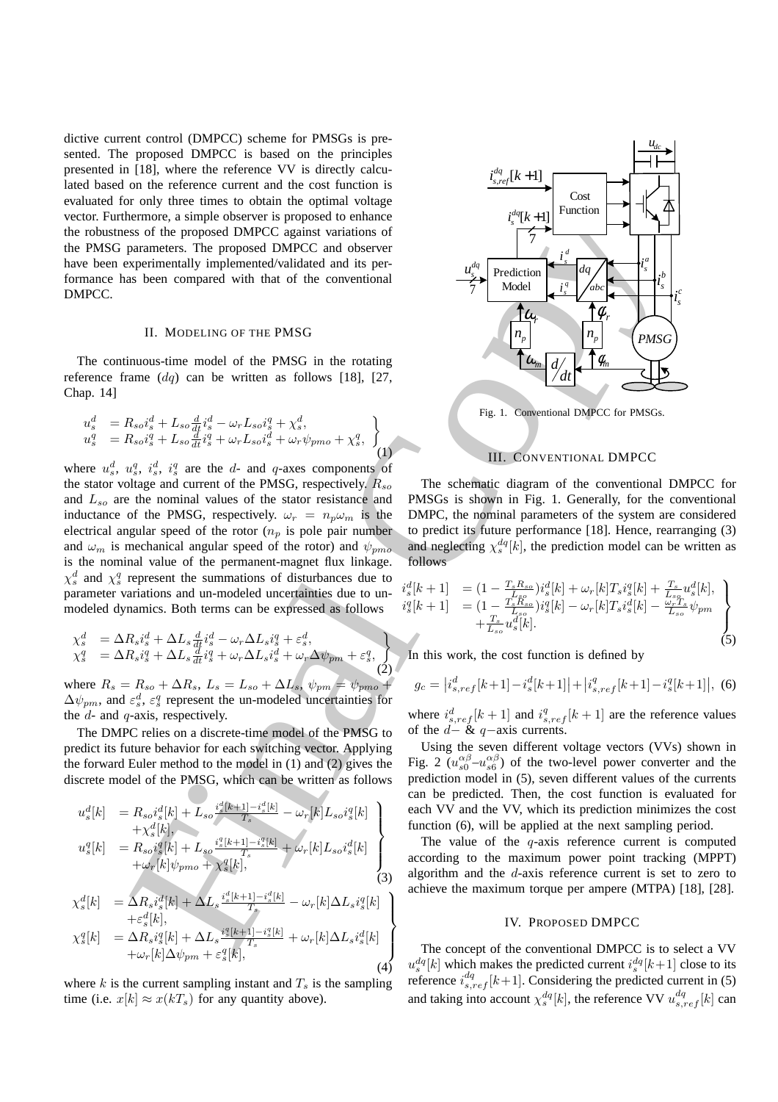dictive current control (DMPCC) scheme for PMSGs is presented. The proposed DMPCC is based on the principles presented in [18], where the reference VV is directly calculated based on the reference current and the cost function is evaluated for only three times to obtain the optimal voltage vector. Furthermore, a simple observer is proposed to enhance the robustness of the proposed DMPCC against variations of the PMSG parameters. The proposed DMPCC and observer have been experimentally implemented/validated and its performance has been compared with that of the conventional DMPCC.

#### II. MODELING OF THE PMSG

The continuous-time model of the PMSG in the rotating reference frame  $(dq)$  can be written as follows [18], [27, Chap. 14]

$$
u_s^d = R_{so} i_s^d + L_{so} \frac{d}{dt} i_s^d - \omega_r L_{so} i_s^q + \chi_s^d,
$$
  
\n
$$
u_s^q = R_{so} i_s^q + L_{so} \frac{d}{dt} i_s^q + \omega_r L_{so} i_s^d + \omega_r \psi_{pmo} + \chi_s^q,
$$
\n(1)

where  $u_s^d$ ,  $u_s^q$ ,  $i_s^d$ ,  $i_s^q$  are the d- and q-axes components of the stator voltage and current of the PMSG, respectively.  $R_{so}$ and  $L_{so}$  are the nominal values of the stator resistance and inductance of the PMSG, respectively.  $\omega_r = n_p \omega_m$  is the electrical angular speed of the rotor  $(n_p)$  is pole pair number and  $\omega_m$  is mechanical angular speed of the rotor) and  $\psi_{nmo}$ is the nominal value of the permanent-magnet flux linkage.  $\chi_s^d$  and  $\chi_s^q$  represent the summations of disturbances due to parameter variations and un-modeled uncertainties due to unmodeled dynamics. Both terms can be expressed as follows

$$
\chi_s^d = \Delta R_s i_s^d + \Delta L_s \frac{d}{dt} i_s^d - \omega_r \Delta L_s i_s^q + \varepsilon_s^d, \n\chi_s^q = \Delta R_s i_s^q + \Delta L_s \frac{d}{dt} i_s^q + \omega_r \Delta L_s i_s^d + \omega_r \Delta \psi_{pm} + \varepsilon_s^q,
$$
\n(2)

where  $R_s = R_{so} + \Delta R_s$ ,  $L_s = L_{so} + \Delta L_s$ ,  $\psi_{pm} = \psi_{pmo}$  $\Delta \psi_{pm}$ , and  $\varepsilon_s^d$ ,  $\varepsilon_s^q$  represent the un-modeled uncertainties for the  $d$ - and  $q$ -axis, respectively.

The DMPC relies on a discrete-time model of the PMSG to predict its future behavior for each switching vector. Applying the forward Euler method to the model in (1) and (2) gives the discrete model of the PMSG, which can be written as follows

$$
u_s^d[k] = R_{so} i_s^d[k] + L_{so} \frac{i_s^d[k+1] - i_s^d[k]}{T_s} - \omega_r[k] L_{so} i_s^q[k] + \chi_s^d[k],
$$
  
\n
$$
u_s^q[k] = R_{so} i_s^q[k] + L_{so} \frac{i_s^q[k+1] - i_s^q[k]}{T_s} + \omega_r[k] L_{so} i_s^d[k] + \omega_r[k] \psi_{pmo} + \chi_s^q[k],
$$
\n(3)

$$
\begin{array}{ll} \chi_s^d[k] & = \Delta R_s i_s^d[k] + \Delta L_s \frac{i_s^d[k+1] - i_s^d[k]}{T_s} - \omega_r[k] \Delta L_s i_s^q[k] \\ & + \varepsilon_s^d[k], \end{array}
$$

 $\mathcal{L}$  $\overline{\mathcal{L}}$ 

 $\int$ 

$$
\chi_s^q[k] = \Delta R_s i_s^q[k] + \Delta L_s \frac{i_s^q[k+1] - i_s^q[k]}{T_s} + \omega_r[k] \Delta L_s i_s^d[k] + \omega_r[k] \Delta \psi_{pm} + \varepsilon_s^q[k], \tag{4}
$$

where k is the current sampling instant and  $T_s$  is the sampling time (i.e.  $x[k] \approx x(kT_s)$  for any quantity above).



Fig. 1. Conventional DMPCC for PMSGs.

## III. CONVENTIONAL DMPCC

The schematic diagram of the conventional DMPCC for PMSGs is shown in Fig. 1. Generally, for the conventional DMPC, the nominal parameters of the system are considered to predict its future performance [18]. Hence, rearranging (3) and neglecting  $\chi_s^{dq}[k]$ , the prediction model can be written as follows

$$
i_s^d[k+1] = (1 - \frac{T_s R_{so}}{L_{so}}) i_s^d[k] + \omega_r[k] T_s i_s^g[k] + \frac{T_s}{L_{so}} u_s^d[k],
$$
  
\n
$$
i_s^g[k+1] = (1 - \frac{T_s R_{so}}{L_{so}}) i_s^g[k] - \omega_r[k] T_s i_s^d[k] - \frac{\omega_r T_s}{L_{so}} \psi_{pm}
$$
  
\n
$$
+ \frac{T_s}{L_{so}} u_s^d[k].
$$
\n(5)

In this work, the cost function is defined by

$$
g_c = |i_{s,ref}^d[k+1] - i_s^d[k+1]| + |i_{s,ref}^q[k+1] - i_s^q[k+1]|, \text{ (6)}
$$

where  $i_{s,ref}^d[k+1]$  and  $i_{s,ref}^q[k+1]$  are the reference values of the  $d-\& q$ −axis currents.

Using the seven different voltage vectors (VVs) shown in Fig. 2  $(u_{s0}^{\alpha\beta} - u_{s6}^{\alpha\beta})$  of the two-level power converter and the prediction model in (5), seven different values of the currents can be predicted. Then, the cost function is evaluated for each VV and the VV, which its prediction minimizes the cost function (6), will be applied at the next sampling period.

The value of the  $q$ -axis reference current is computed according to the maximum power point tracking (MPPT) algorithm and the d-axis reference current is set to zero to achieve the maximum torque per ampere (MTPA) [18], [28].

## IV. PROPOSED DMPCC

The concept of the conventional DMPCC is to select a VV  $u_s^{dq}[k]$  which makes the predicted current  $i_s^{dq}[k+1]$  close to its reference  $i_{s,ref}^{dq}[k+1]$ . Considering the predicted current in (5) and taking into account  $\chi_s^{dq}[k]$ , the reference VV  $u_{s,ref}^{dq}[k]$  can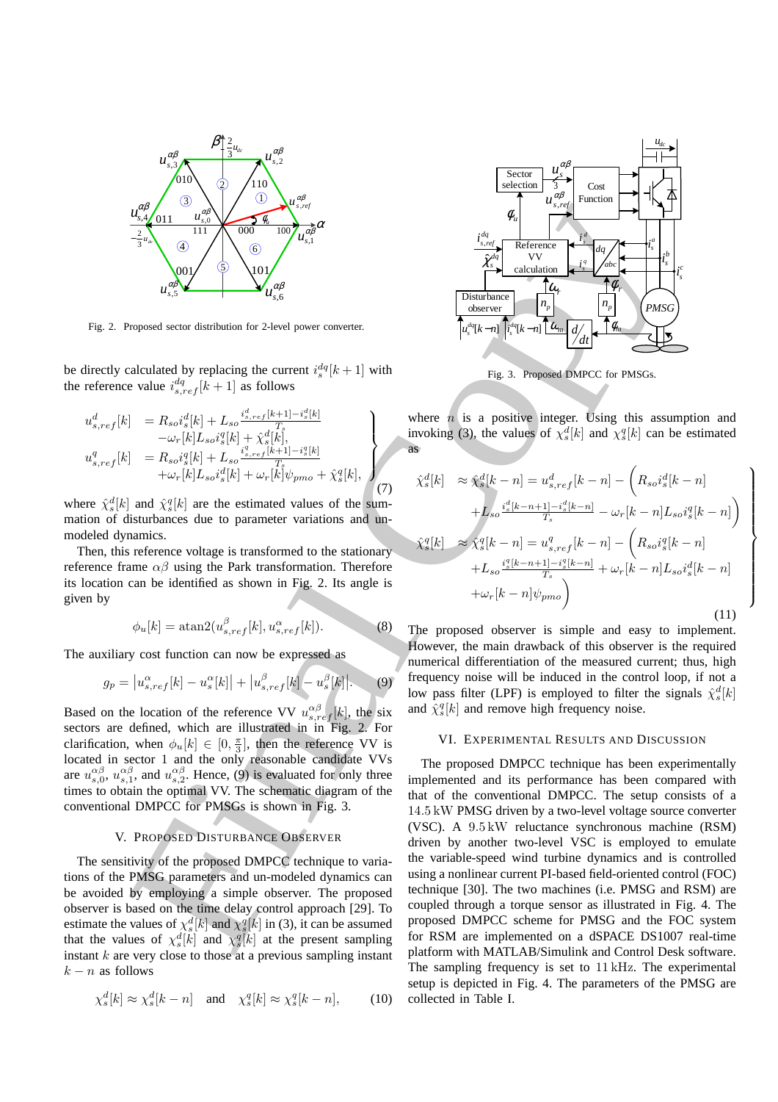

Fig. 2. Proposed sector distribution for 2-level power converter.

be directly calculated by replacing the current  $i_s^{dq}[k+1]$  with the reference value  $i_{s,ref}^{dq}[k+1]$  as follows

$$
u_{s,ref}^{d}[k] = R_{so}i_{s}^{d}[k] + L_{so}\frac{i_{s,ref}^{d}[k+1] - i_{s}^{d}[k]}{T_{s}} - \omega_{r}[k]L_{so}i_{s}^{q}[k] + \hat{\chi}_{s}^{d}[k],
$$
  
\n
$$
u_{s,ref}^{q}[k] = R_{so}i_{s}^{q}[k] + L_{so}\frac{i_{s,ref}[k+1] - i_{s}^{q}[k]}{T_{s}} + \omega_{r}[k]L_{so}i_{s}^{d}[k] + \omega_{r}[k]\psi_{pmo} + \hat{\chi}_{s}^{q}[k],
$$
\n(7)

where  $\hat{\chi}_s^d[k]$  and  $\hat{\chi}_s^q[k]$  are the estimated values of the summation of disturbances due to parameter variations and unmodeled dynamics.

Then, this reference voltage is transformed to the stationary reference frame  $\alpha\beta$  using the Park transformation. Therefore its location can be identified as shown in Fig. 2. Its angle is given by

$$
\phi_u[k] = \operatorname{atan2}(u_{s,ref}^{\beta}[k], u_{s,ref}^{\alpha}[k]). \tag{8}
$$

The auxiliary cost function can now be expressed as

$$
g_p = |u_{s,ref}^{\alpha}[k] - u_s^{\alpha}[k]| + |u_{s,ref}^{\beta}[k] - u_s^{\beta}[k]|.
$$
 (9)

Based on the location of the reference VV  $u_{s,ref}^{\alpha\beta}[k]$ , the six sectors are defined, which are illustrated in in Fig. 2. For clarification, when  $\phi_u[k] \in [0, \frac{\pi}{3}]$ , then the reference VV is located in sector 1 and the only reasonable candidate VVs are  $u_{s,0}^{\alpha\beta}$ ,  $u_{s,1}^{\alpha\beta}$ , and  $u_{s,2}^{\alpha\beta}$ . Hence, (9) is evaluated for only three times to obtain the optimal VV. The schematic diagram of the conventional DMPCC for PMSGs is shown in Fig. 3.

## V. PROPOSED DISTURBANCE OBSERVER

The sensitivity of the proposed DMPCC technique to variations of the PMSG parameters and un-modeled dynamics can be avoided by employing a simple observer. The proposed observer is based on the time delay control approach [29]. To estimate the values of  $\chi_s^d[k]$  and  $\chi_s^q[k]$  in (3), it can be assumed that the values of  $\chi_s^d[k]$  and  $\chi_s^q[k]$  at the present sampling instant  $k$  are very close to those at a previous sampling instant  $k - n$  as follows

$$
\chi_s^d[k] \approx \chi_s^d[k-n] \quad \text{and} \quad \chi_s^q[k] \approx \chi_s^q[k-n], \tag{10}
$$



Fig. 3. Proposed DMPCC for PMSGs.

where  $n$  is a positive integer. Using this assumption and invoking (3), the values of  $\chi_s^d[k]$  and  $\chi_s^q[k]$  can be estimated as

 $\mathcal{L}$ 

 $\overline{\mathcal{L}}$ 

 $\begin{array}{c} \hline \end{array}$ 

$$
\hat{\chi}_{s}^{d}[k] \approx \hat{\chi}_{s}^{d}[k-n] = u_{s,ref}^{d}[k-n] - \left(R_{so}i_{s}^{d}[k-n] + L_{so}i_{s}^{d}[k-n+1] - i_{s}^{d}[k-n] - \omega_{r}[k-n]L_{so}i_{s}^{d}[k-n]\right)
$$

$$
\hat{\chi}_{s}^{q}[k] \approx \hat{\chi}_{s}^{q}[k-n] = u_{s,ref}^{q}[k-n] - \left(R_{so}i_{s}^{q}[k-n] + L_{so}i_{s}^{d}[k-n+1] - i_{s}^{d}[k-n] + \omega_{r}[k-n]L_{so}i_{s}^{d}[k-n] + \omega_{r}[k-n]\psi_{pmo}\right)
$$
\n(11)

The proposed observer is simple and easy to implement. However, the main drawback of this observer is the required numerical differentiation of the measured current; thus, high frequency noise will be induced in the control loop, if not a low pass filter (LPF) is employed to filter the signals  $\hat{\chi}_s^d[k]$ and  $\hat{\chi}_s^q[k]$  and remove high frequency noise.

### VI. EXPERIMENTAL RESULTS AND DISCUSSION

 $\frac{R_{20}^{(n)}(1)}{R_{10}^{(n)}(1)} = \frac{R_{10}^{(n)}(1)}{R_{10}^{(n)}(1)} = \frac{R_{20}^{(n)}(1)}{R_{10}^{(n)}(1)} = \frac{R_{21}^{(n)}(1)}{R_{10}^{(n)}(1)} = \frac{R_{22}^{(n)}(1)}{R_{10}^{(n)}(1)} = \frac{R_{21}^{(n)}(1)}{R_{10}^{(n)}(1)} = \frac{R_{22}^{(n)}(1)}{R_{10}^{(n)}(1)} = \frac{R_{23}^{(n)}(1)}$ The proposed DMPCC technique has been experimentally implemented and its performance has been compared with that of the conventional DMPCC. The setup consists of a 14.5 kW PMSG driven by a two-level voltage source converter (VSC). A 9.5 kW reluctance synchronous machine (RSM) driven by another two-level VSC is employed to emulate the variable-speed wind turbine dynamics and is controlled using a nonlinear current PI-based field-oriented control (FOC) technique [30]. The two machines (i.e. PMSG and RSM) are coupled through a torque sensor as illustrated in Fig. 4. The proposed DMPCC scheme for PMSG and the FOC system for RSM are implemented on a dSPACE DS1007 real-time platform with MATLAB/Simulink and Control Desk software. The sampling frequency is set to 11 kHz. The experimental setup is depicted in Fig. 4. The parameters of the PMSG are collected in Table I.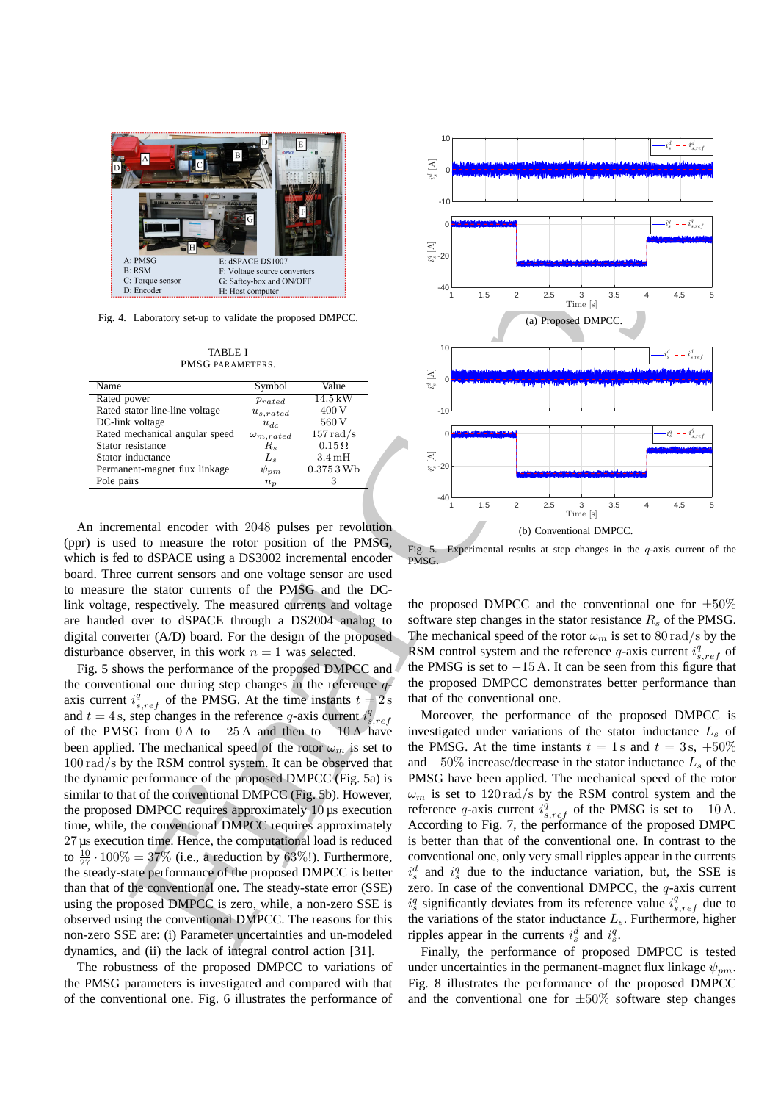

Fig. 4. Laboratory set-up to validate the proposed DMPCC.

TABLE I PMSG PARAMETERS.

| Name                           | Symbol             | Value               |
|--------------------------------|--------------------|---------------------|
| Rated power                    | $p_{rated}$        | $14.5\,\mathrm{kW}$ |
| Rated stator line-line voltage | $u_{s,rated}$      | 400 V               |
| DC-link voltage                | $u_{dc}$           | 560 V               |
| Rated mechanical angular speed | $\omega_{m,rated}$ | $157 \text{ rad/s}$ |
| Stator resistance              | $R_{s}$            | $0.15\,\Omega$      |
| Stator inductance              | $L_{s}$            | $3.4\,\mathrm{mH}$  |
| Permanent-magnet flux linkage  | $\psi_{pm}$        | 0.3753Wb            |
| Pole pairs                     | $n_{n}$            |                     |

An incremental encoder with 2048 pulses per revolution (ppr) is used to measure the rotor position of the PMSG, which is fed to dSPACE using a DS3002 incremental encoder board. Three current sensors and one voltage sensor are used to measure the stator currents of the PMSG and the DClink voltage, respectively. The measured currents and voltage are handed over to dSPACE through a DS2004 analog to digital converter (A/D) board. For the design of the proposed disturbance observer, in this work  $n = 1$  was selected.

Fig. 5 shows the performance of the proposed DMPCC and the conventional one during step changes in the reference  $q$ axis current  $i_{s,ref}^q$  of the PMSG. At the time instants  $t = 2$  s and  $t = 4$  s, step changes in the reference q-axis current  $i_{s,ref}^q$ of the PMSG from  $0 A$  to  $-25 A$  and then to  $-10 A$  have been applied. The mechanical speed of the rotor  $\omega_m$  is set to 100 rad/s by the RSM control system. It can be observed that the dynamic performance of the proposed DMPCC (Fig. 5a) is similar to that of the conventional DMPCC (Fig. 5b). However, the proposed DMPCC requires approximately 10 µs execution time, while, the conventional DMPCC requires approximately 27 µs execution time. Hence, the computational load is reduced to  $\frac{10}{27} \cdot 100\% = 37\%$  (i.e., a reduction by 63%!). Furthermore, the steady-state performance of the proposed DMPCC is better than that of the conventional one. The steady-state error (SSE) using the proposed DMPCC is zero, while, a non-zero SSE is observed using the conventional DMPCC. The reasons for this non-zero SSE are: (i) Parameter uncertainties and un-modeled dynamics, and (ii) the lack of integral control action [31].

The robustness of the proposed DMPCC to variations of the PMSG parameters is investigated and compared with that of the conventional one. Fig. 6 illustrates the performance of



Fig. 5. Experimental results at step changes in the  $q$ -axis current of the PMSG.

the proposed DMPCC and the conventional one for  $\pm 50\%$ software step changes in the stator resistance  $R_s$  of the PMSG. The mechanical speed of the rotor  $\omega_m$  is set to 80 rad/s by the RSM control system and the reference q-axis current  $i_{s,ref}^q$  of the PMSG is set to  $-15$  A. It can be seen from this figure that the proposed DMPCC demonstrates better performance than that of the conventional one.

Moreover, the performance of the proposed DMPCC is investigated under variations of the stator inductance  $L<sub>s</sub>$  of the PMSG. At the time instants  $t = 1$  s and  $t = 3$  s,  $+50\%$ and  $-50\%$  increase/decrease in the stator inductance  $L_s$  of the PMSG have been applied. The mechanical speed of the rotor  $\omega_m$  is set to 120 rad/s by the RSM control system and the reference q-axis current  $i_{s,ref}^{q}$  of the PMSG is set to  $-10$  A. According to Fig. 7, the performance of the proposed DMPC is better than that of the conventional one. In contrast to the conventional one, only very small ripples appear in the currents  $i_s^d$  and  $i_s^q$  due to the inductance variation, but, the SSE is zero. In case of the conventional DMPCC, the  $q$ -axis current  $i_s^q$  significantly deviates from its reference value  $i_{s,ref}^q$  due to the variations of the stator inductance  $L_s$ . Furthermore, higher ripples appear in the currents  $i_s^d$  and  $i_s^q$ .

Finally, the performance of proposed DMPCC is tested under uncertainties in the permanent-magnet flux linkage  $\psi_{nm}$ . Fig. 8 illustrates the performance of the proposed DMPCC and the conventional one for  $\pm 50\%$  software step changes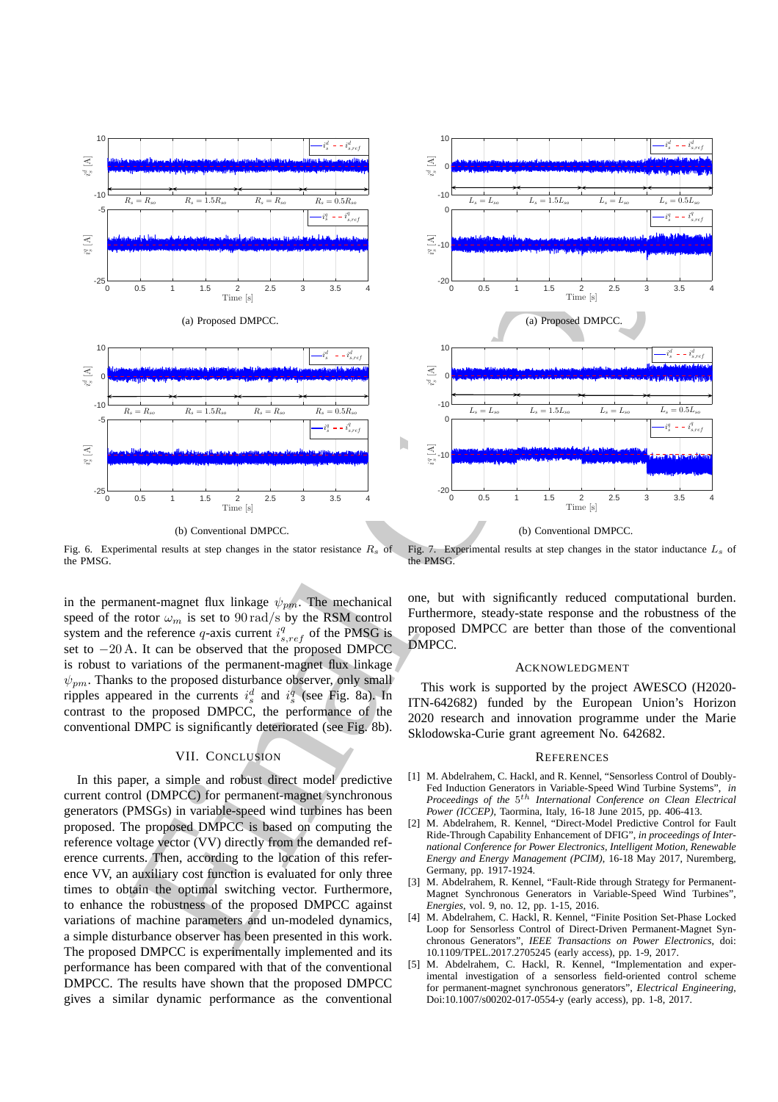

(b) Conventional DMPCC.

Fig. 6. Experimental results at step changes in the stator resistance  $R_s$  of the PMSG.

in the permanent-magnet flux linkage  $\psi_{pm}$ . The mechanical speed of the rotor  $\omega_m$  is set to 90 rad/s by the RSM control system and the reference q-axis current  $i_{s,ref}^q$  of the PMSG is set to −20 A. It can be observed that the proposed DMPCC is robust to variations of the permanent-magnet flux linkage  $\psi_{pm}$ . Thanks to the proposed disturbance observer, only small ripples appeared in the currents  $i_s^d$  and  $i_s^q$  (see Fig. 8a). In contrast to the proposed DMPCC, the performance of the conventional DMPC is significantly deteriorated (see Fig. 8b).

## VII. CONCLUSION

In this paper, a simple and robust direct model predictive current control (DMPCC) for permanent-magnet synchronous generators (PMSGs) in variable-speed wind turbines has been proposed. The proposed DMPCC is based on computing the reference voltage vector (VV) directly from the demanded reference currents. Then, according to the location of this reference VV, an auxiliary cost function is evaluated for only three times to obtain the optimal switching vector. Furthermore, to enhance the robustness of the proposed DMPCC against variations of machine parameters and un-modeled dynamics, a simple disturbance observer has been presented in this work. The proposed DMPCC is experimentally implemented and its performance has been compared with that of the conventional DMPCC. The results have shown that the proposed DMPCC gives a similar dynamic performance as the conventional



(b) Conventional DMPCC.

Fig. 7. Experimental results at step changes in the stator inductance  $L_s$  of the PMSG.

one, but with significantly reduced computational burden. Furthermore, steady-state response and the robustness of the proposed DMPCC are better than those of the conventional DMPCC.

#### ACKNOWLEDGMENT

This work is supported by the project AWESCO (H2020- ITN-642682) funded by the European Union's Horizon 2020 research and innovation programme under the Marie Sklodowska-Curie grant agreement No. 642682.

#### **REFERENCES**

- [1] M. Abdelrahem, C. Hackl, and R. Kennel, "Sensorless Control of Doubly-Fed Induction Generators in Variable-Speed Wind Turbine Systems", *in*<br>*Proceedings of the* 5<sup>th</sup> *International Conference on Clean Electrical Power (ICCEP)*, Taormina, Italy, 16-18 June 2015, pp. 406-413.
- [2] M. Abdelrahem, R. Kennel, "Direct-Model Predictive Control for Fault Ride-Through Capability Enhancement of DFIG", *in proceedings of International Conference for Power Electronics, Intelligent Motion, Renewable Energy and Energy Management (PCIM)*, 16-18 May 2017, Nuremberg, Germany, pp. 1917-1924.
- [3] M. Abdelrahem, R. Kennel, "Fault-Ride through Strategy for Permanent-Magnet Synchronous Generators in Variable-Speed Wind Turbines", *Energies*, vol. 9, no. 12, pp. 1-15, 2016.
- [4] M. Abdelrahem, C. Hackl, R. Kennel, "Finite Position Set-Phase Locked Loop for Sensorless Control of Direct-Driven Permanent-Magnet Synchronous Generators", *IEEE Transactions on Power Electronics*, doi: 10.1109/TPEL.2017.2705245 (early access), pp. 1-9, 2017.
- [5] M. Abdelrahem, C. Hackl, R. Kennel, "Implementation and experimental investigation of a sensorless field-oriented control scheme for permanent-magnet synchronous generators", *Electrical Engineering*, Doi:10.1007/s00202-017-0554-y (early access), pp. 1-8, 2017.